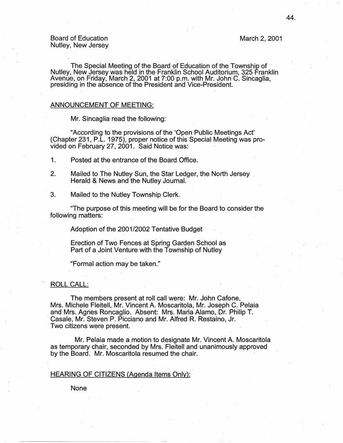Board of Education Nutley, New Jersey March 2, 2001

The Special Meeting of the Board of Education of the.Township of Nutley, New Jersey was held in the Franklin School Auditorium, 325 Franklin Avenue, on Friday, March 2, 2001 at 7:00 p.m. with Mr. John C. Sincaglia,<br>presiding in the absence of the President and Vice-President.

# ANNOUNCEMENT OF MEETING:

Mr. Sincaglia read the following:

"According to the provisions of the 'Open Public Meetings Act' (Chapter 231, P .L. 1975), proper notice of this Special Meeting was provided on February 27, 2001. Said Notice was:

1. Posted at the entrance of the Board Office.

- 2. Mailed to The Nutley Sun, the Star Ledger, the North Jersey Herald & News and the Nutley Journal.
- 3. Mailed to the Nutley Township Clerk.

"The purpose of this meeting will be for the Board to consider the following matters:

Adoption of the 2001/2002 Tentative Budget

Erection of Two Fences at Spring Garden School as Part of a Joint Venture with the Township of Nutley

"formal action may be taken."

# ROLL CALL:

The members present at roll call were: Mr. John Cafone, Mrs. Michele Fleitell, Mr. Vincent A. Moscaritola, Mr. Joseph C. Pelaia and Mrs. Agnes Roncaglio. Absent: Mrs. Maria Alamo, Dr. Philip T. · Casale, Mr. Steven P. Picciano and Mr. Alfred R. Restaino, Jr. Two citizens were present.

Mr. Pelaia made a motion to designate Mr. Vincent A. Moscaritola as temporary chair, seconded by Mrs. Fleitell and unanimously approved by the Board. Mr. Moscaritola resumed the chair.

# HEARING OF CITIZENS (Agenda Items Only):

None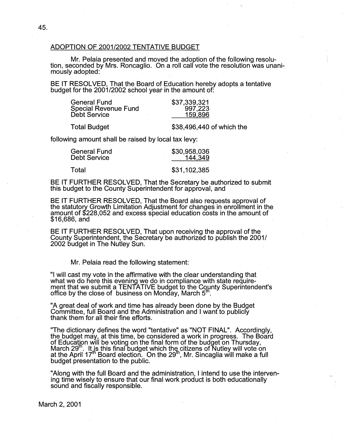## ADOPTION OF 2001/2002 TENTATIVE BUDGET

Mr. Pelaia presented and moved the adoption of the following resolu- tion, seconded by Mrs. Roncaglio. On a roll calr vote the resolution was unanimously adopted:

BE IT RESOLVED, That the Board of Education hereby adopts a tentative budget for the 2001/2002 school year in the amount of: .

| <b>General Fund</b>         | \$37,339,321 |
|-----------------------------|--------------|
| <b>Special Revenue Fund</b> | 997,223      |
| <b>Debt Service</b>         | 159,896      |
|                             |              |

Total Budget  $$38,496,440$  of which the

.

following amount shall be raised by local tax levy:

| General Fund | \$30,958,036 |  |
|--------------|--------------|--|
| Debt Service | 144,349      |  |
| Total        | \$31,102,385 |  |

. BE IT FURTHER RESOLVED, That the Secretary be authorized to submit this budget to the County Superintendent for approval, and

BE IT FURTHER RESOLVED, That the Board also requests approval of the statutory Growth Limitation Adjustment for changes in enrollment in the amount of \$228,052 and excess special education costs in the amount of \$16,686, and .

BE IT FURTHER RESOLVED, That upon receiving the approval of the County Superintendent, the Secretary be authorized to publish the 2001/ 2002 budget in The Nutley Sun.

Mr. Pelaia read the following statement:

"I will cast my vote in the affirmative with the clear understanding that what we do here this evening we do in compliance with state requirement that we submit a TENTATIVE budget to the County Superintendent's<br>office by the close of business on Monday, March 5"'.

"A great deal of work and time has already been done by the Budget Committee, full Board and the Administration and I want to publicly thank them for all their fine efforts.

"The dictionary defines the word "tentative" as "NOT FINAL". Accordingly, the budget may, at this time, be considered a work in progress. The Board of Education will be voting on the final form of the budget on Thursday, March 29 $^{\rm m}$ . It is this final budget which the citizens of Nutley will vote on at the April 17<sup>th</sup> Board election. On the 29<sup>th</sup>, Mr. Sincaglia will make a full budget presentation to the public.

"Along with the full Board and the administration, I intend to use the intervening time wisely to ensure that our final work product is both educationally sound and fiscally responsible.

March 2, 2001